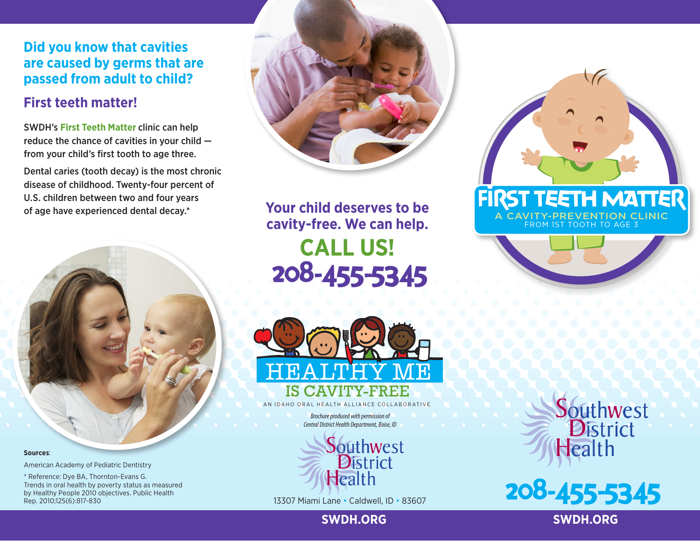## **Did you know that cavities are caused by germs that are passed from adult to child?**

# **First teeth matter!**

SWDH's **First Teeth Matter** clinic can help reduce the chance of cavities in your child from your child's first tooth to age three.

Dental caries (tooth decay) is the most chronic disease of childhood. Twenty-four percent of U.S. children between two and four years of age have experienced dental decay.\*





208-455-5345 **Your child deserves to be cavity-free. We can help. CALL US!**



AN IDAHO ORAL HEALTH ALLIANCE COLLABORATIVE

*Brochure produced with permission of Central District Health Department, Boise, ID*



13307 Miami Lane • Caldwell, ID • 83607



**Sources**:

American Academy of Pediatric Dentistry

\* Reference: Dye BA, Thornton-Evans G. Trends in oral health by poverty status as measured by Healthy People 2010 objectives. Public Health Rep. 2010;125(6):817-830

### **SWDH.ORG SWDH.ORG**